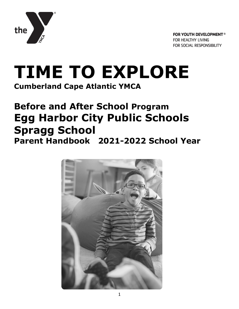

# **TIME TO EXPLORE**

**Cumberland Cape Atlantic YMCA**

## **Before and After School Program Egg Harbor City Public Schools Spragg School Parent Handbook 2021-2022 School Year**

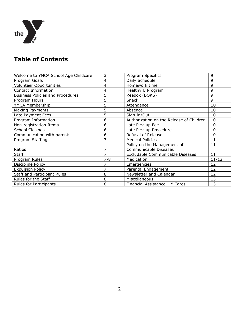

## **Table of Contents**

| Welcome to YMCA School Age Childcare    | 3       | <b>Program Specifics</b>                 | 9         |
|-----------------------------------------|---------|------------------------------------------|-----------|
| Program Goals                           | 4       | Daily Schedule                           | 9         |
| <b>Volunteer Opportunities</b>          | 4       | Homework time                            | 9         |
| Contact Information                     | 4       | Healthy U Program                        | 9         |
| <b>Business Policies and Procedures</b> | 5       | Reebok (BOKS)                            | 9         |
| Program Hours                           | 5       | Snack                                    | 9         |
| YMCA Membership                         | 5       | Attendance                               | 10        |
| Making Payments                         | 5       | Absence                                  | 10        |
| Late Payment Fees                       | 5       | Sign In/Out                              | 10        |
| Program Information                     | 6       | Authorization on the Release of Children | 10        |
| Non-registration Items                  | 6       | Late Pick-up Fee                         | 10        |
| <b>School Closings</b>                  | 6       | Late Pick-up Procedure                   | 10        |
| Communication with parents              | 6       | Refusal of Release                       | 10        |
| Program Staffing                        | 7       | <b>Medical Policies</b>                  | 11        |
|                                         |         | Policy on the Management of              | 11        |
| Ratios                                  | 7       | Communicable Diseases                    |           |
| <b>Staff</b>                            | 7       | Excludable Communicable Diseases         | 11        |
| Program Rules                           | $7 - 8$ | Medication                               | $11 - 12$ |
| Discipline Policy                       | 7       | Emergencies                              | 12        |
| <b>Expulsion Policy</b>                 | 7       | Parental Engagement                      | 12        |
| <b>Staff and Participant Rules</b>      | 8       | Newsletter and Calendar                  | 12        |
| Rules for the Staff                     | 8       | Miscellaneous                            | 13        |
| <b>Rules for Participants</b>           | 8       | Financial Assistance - Y Cares           | 13        |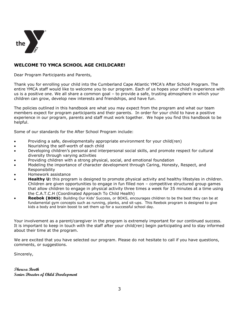

#### **WELCOME TO YMCA SCHOOL AGE CHILDCARE!**

Dear Program Participants and Parents,

Thank you for enrolling your child into the Cumberland Cape Atlantic YMCA's After School Program. The entire YMCA staff would like to welcome you to our program. Each of us hopes your child's experience with us is a positive one. We all share a common goal – to provide a safe, trusting atmosphere in which your children can grow, develop new interests and friendships, and have fun.

The policies outlined in this handbook are what you may expect from the program and what our team members expect for program participants and their parents. In order for your child to have a positive experience in our program, parents and staff must work together. We hope you find this handbook to be helpful.

Some of our standards for the After School Program include:

- Providing a safe, developmentally appropriate environment for your child(ren)
- Nourishing the self-worth of each child
- Developing children's personal and interpersonal social skills, and promote respect for cultural diversity through varying activities
- Providing children with a strong physical, social, and emotional foundation
- Modeling the importance of character development through Caring, Honesty, Respect, and Responsibility
- Homework assistance
- **Healthy U:** this program is designed to promote physical activity and healthy lifestyles in children. Children are given opportunities to engage in fun filled non – competitive structured group games that allow children to engage in physical activity three times a week for 35 minutes at a time using the C.A.T.C.H (Coordinated Approach To Child Health)
- **Reebok (BOKS)**: Building Our Kids' Success, or BOKS, encourages children to be the best they can be at fundamental gym concepts such as running, planks, and sit-ups. This Reebok program is designed to give kids a body and brain boost to set them up for a successful school day.

Your involvement as a parent/caregiver in the program is extremely important for our continued success. It is important to keep in touch with the staff after your child(ren) begin participating and to stay informed about their time at the program.

We are excited that you have selected our program. Please do not hesitate to call if you have questions, comments, or suggestions.

Sincerely,

**Theresa Booth Senior Director of Child Development**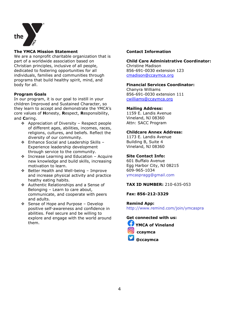

#### **The YMCA Mission Statement**

We are a nonprofit charitable organization that is part of a worldwide association based on Christian principles, inclusive of all people, dedicated to fostering opportunities for all individuals, families and communities through programs that build healthy spirit, mind, and body for all.

#### **Program Goals**

In our program, it is our goal to instill in your children Improved and Sustained Character, so they learn to accept and demonstrate the YMCA's core values of **H**onesty, **R**espect, **R**esponsibility, and **C**aring.

- $\div$  Appreciation of Diversity Respect people of different ages, abilities, incomes, races, religions, cultures, and beliefs. Reflect the diversity of our community.
- ❖ Enhance Social and Leadership Skills -Experience leadership development through service to the community.
- $\div$  Increase Learning and Education Acquire new knowledge and build skills, increasing motivation to learn.
- ❖ Better Health and Well-being Improve and increase physical activity and practice heathy eating habits.
- ❖ Authentic Relationships and a Sense of Belonging – Learn to care about, communicate, and cooperate with peers and adults.
- $\div$  Sense of Hope and Purpose Develop positive self-awareness and confidence in abilities. Feel secure and be willing to explore and engage with the world around them.

#### **Contact Information**

#### **Child Care Administrative Coordinator:** Christine Madison 856-691-0030 extension 123

[cmadison@ccaymca.org](mailto:cmadison@ccaymca.org)

#### **Financial Services Coordinator:**

Chanyra Williams 856-691-0030 extension 111 [cwilliams@ccaymca.org](mailto:cwilliams@ccaymca.org)

#### **Mailing Address:**

1159 E. Landis Avenue Vineland, NJ 08360 Attn: SACC Program

#### **Childcare Annex Address:**

1173 E. Landis Avenue Building B, Suite 4 Vineland, NJ 08360

#### **Site Contact Info:**

601 Buffalo Avenue Egg Harbor City, NJ 08215 609-965-1034 ymcaspragg@gmail.com

#### **TAX ID NUMBER:** 210-635-053

**Fax: 856-212-3329**

**Remind App:**  http://www.remind.com/join/ymcaspra

**Get connected with us:**



 **ccaymca**

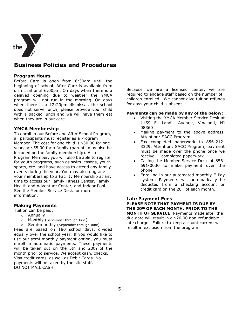

## **Business Policies and Procedures**

#### **Program Hours**

Before Care is open from 6:30am until the beginning of school. After Care is available from dismissal until 6:00pm. On days when there is a delayed opening due to weather the YMCA program will not run in the morning. On days when there is a 12:20pm dismissal, the school does not serve lunch, please provide your child with a packed lunch and we will have them eat when they are in our care.

#### **YMCA Membership**

To enroll in our Before and After School Program, all participants must register as a Program Member. The cost for one child is \$30.00 for one year, or \$55.00 for a family (parents may also be included on the family membership). As a Program Member, you will also be able to register for youth programs, such as swim lessons, youth sports, etc. and have access to attend any family events during the year. You may also upgrade your membership to a Facility Membership at any time to access our Family Fitness Center, Family Health and Adventure Center, and Indoor Pool. See the Member Service Desk for more information.

#### **Making Payments**

Tuition can be paid:

- o Annually
- o Monthly (September through June)
- o Semi-monthly (September through June)

Fees are based on 180 school days, divided equally over the school year. If you would like to use our semi-monthly payment option, you must enroll in automatic payments. These payments will be taken out on the 5th and 20th of the month prior to service. We accept cash, checks, Visa credit cards, as well as Debit Cards. No payments will be taken by the site staff. DO NOT MAIL CASH

Because we are a licensed center, we are required to engage staff based on the number of children enrolled. We cannot give tuition refunds for days your child is absent.

#### **Payments can be made by any of the below:**

- Visiting the YMCA Member Service Desk at 1159 E. Landis Avenue, Vineland, NJ 08360
- Mailing payment to the above address, Attention: SACC Program
- Fax completed paperwork to 856-212- 3329, Attention: SACC Program; payment must be made over the phone once we receive completed paperwork
- Calling the Member Service Desk at 856- 691-0030 to make payment over the phone
- Enrolling in our automated monthly E-Pay system. Payments will automatically be deducted from a checking account or credit card on the 20th of each month.

#### **Late Payment Fees**

**PLEASE NOTE THAT PAYMENT IS DUE BY THE 20th OF EACH MONTH, PRIOR TO THE** 

**MONTH OF SERVICE**. Payments made after the due date will result in a \$20.00 non-refundable late charge. Failure to keep account current will result in exclusion from the program.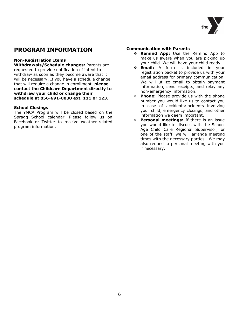

## **PROGRAM INFORMATION**

#### **Non-Registration Items**

**Withdrawals/Schedule changes:** Parents are requested to provide notification of intent to withdraw as soon as they become aware that it will be necessary. If you have a schedule change that will require a change in enrollment, **please contact the Childcare Department directly to withdraw your child or change their schedule at 856-691-0030 ext. 111 or 123.**

#### **School Closings**

The YMCA Program will be closed based on the Spragg School calendar. Please follow us on Facebook or Twitter to receive weather-related program information.

#### **Communication with Parents**

- **Remind App:** Use the Remind App to make us aware when you are picking up your child. We will have your child ready.
- **Email:** A form is included in your registration packet to provide us with your email address for primary communication. We will utilize email to obtain payment information, send receipts, and relay any non-emergency information.
- **Phone:** Please provide us with the phone number you would like us to contact you in case of accidents/incidents involving your child, emergency closings, and other information we deem important.
- **Personal meetings:** If there is an issue you would like to discuss with the School Age Child Care Regional Supervisor, or one of the staff, we will arrange meeting times with the necessary parties. We may also request a personal meeting with you if necessary.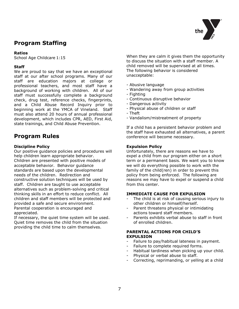

## **Program Staffing**

#### **Ratios**

School Age Childcare 1:15

#### **Staff**

We are proud to say that we have an exceptional staff at our after school programs. Many of our staff are education majors at college or professional teachers, and most staff have a background of working with children. All of our staff must successfully complete a background check, drug test, reference checks, fingerprints, and a Child Abuse Record Inquiry prior to beginning work at the YMCA of Vineland. Staff must also attend 20 hours of annual professional development, which includes CPR, AED, First Aid, state trainings, and Child Abuse Prevention.

## **Program Rules**

#### **Discipline Policy**

Our positive guidance policies and procedures will help children learn appropriate behavior. Children are presented with positive models of acceptable behavior. Behavior guidance standards are based upon the developmental needs of the children. Redirection and constructive solution techniques will be used by staff. Children are taught to use acceptable alternatives such as problem-solving and critical thinking skills in an effort to reduce conflict. All children and staff members will be protected and provided a safe and secure environment. Parental cooperation is encouraged and appreciated.

If necessary, the quiet time system will be used. Quiet time removes the child from the situation providing the child time to calm themselves.

When they are calm it gives them the opportunity to discuss the situation with a staff member. A child removed will be supervised at all times. The following behavior is considered unacceptable:

- Abusive language
- Wandering away from group activities
- Fighting
- Continuous disruptive behavior
- Dangerous activity
- Physical abuse of children or staff
- Theft
- Vandalism/mistreatment of property

If a child has a persistent behavior problem and the staff have exhausted all alternatives, a parent conference will become necessary.

#### **Expulsion Policy**

Unfortunately, there are reasons we have to expel a child from our program either on a short term or a permanent basis. We want you to know we will do everything possible to work with the family of the child(ren) in order to prevent this policy from being enforced. The following are reasons we may have to expel or suspend a child from this center.

#### **IMMEDIATE CAUSE FOR EXPULSION**

- The child is at risk of causing serious injury to other children or himself/herself.
- Parent threatens physical or intimidating actions toward staff members.
- Parents exhibits verbal abuse to staff in front of enrolled children.

#### **PARENTAL ACTIONS FOR CHILD'S EXPULSION**

- Failure to pay/habitual lateness in payment.
- Failure to complete required forms.
- Habitual tardiness when picking up your child.
- Physical or verbal abuse to staff.
- Correcting, reprimanding, or yelling at a child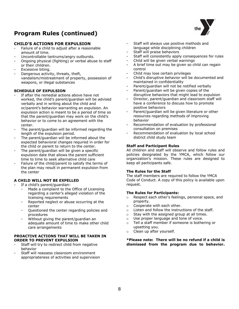## **Program Rules (continued)**

#### **CHILD'S ACTIONS FOR EXPULSION**

- Failure of a child to adjust after a reasonable amount of time.
- Uncontrollable tantrums/angry outbursts.
- Ongoing physical (fighting) or verbal abuse to staff or their children.
- Excessive biting.
- Dangerous activity, threats, theft, vandalism/mistreatment of property, possession of weapons, or illegal substances

#### **SCHEDULE OF EXPULSION**

- If after the remedial actions above have not worked, the child's parent/guardian will be advised verbally and in writing about the child and or/parent's behavior warranting an expulsion. An expulsion action is meant to be a period of time so that the parent/guardian may work on the child's behavior or to come to an agreement with the center.
- The parent/guardian will be informed regarding the length of the expulsion period.
- The parent/quardian will be informed about the expected behavioral changes required in order for the child or parent to return to the center.
- The parent/quardian will be given a specific expulsion date that allows the parent sufficient time to time to seek alternative child care
- Failure of the child/parent to satisfy the terms of the plan may result in permanent expulsion from the center

#### **A CHILD WILL NOT BE EXPELLED**

- If a child's parent/guardian:
	- Made a complaint to the Office of Licensing regarding a center's alleged violation of the licensing requirements
	- Reported neglect or abuse occurring at the center
	- Questioned the center regarding policies and procedures
	- Without giving the parent/guardian an adequate amount of time to make other child care arrangements

#### **PROACTIVE ACTIONS THAT WILL BE TAKEN IN ORDER TO PREVENT EXPULSION**

- Staff will try to redirect child from negative behavior
- Staff will reassess classroom environment appropriateness of activities and supervision
- Staff will always use positive methods and language while disciplining children
- Staff will praise behaviors
- Staff will consistently apply consequences for rules
- Child will be given verbal warnings
- A brief time out may be given so child can regain control
- Child may lose certain privileges
- Child's disruptive behavior will be documented and maintained in confidentiality
- Parent/guardian will not be notified verbally
- Parent/guardian will be given copies of the disruptive behaviors that might lead to expulsion
- Director, parent/guardian and classroom staff will have a conference to discuss how to promote positive behaviors
- Parent/guardian will be given literature or other resources regarding methods of improving behavior
- Recommendation of evaluation by professional consultation on premises
- Recommendation of evaluation by local school district child study team

#### **Staff and Participant Rules**

All children and staff will observe and follow rules and policies designated by the YMCA, which follow our organization's mission. These rules are designed to keep all participants safe.

#### **The Rules for the Staff**

The staff members are required to follow the YMCA Code of Conduct. A copy of this policy is available upon request.

#### **The Rules for Participants:**

- o Respect each other's feelings, personal space, and property.
- o Cooperate with each other.
- o Listen and follow the instructions of the staff.
- o Stay with the assigned group at all times.
- o Use proper language and tone of voice.
- o Tell a staff member if someone is bothering or upsetting you.
- o Clean up after yourself.

**\*Please note: There will be no refund if a child is dismissed from the program due to behavior.**

8

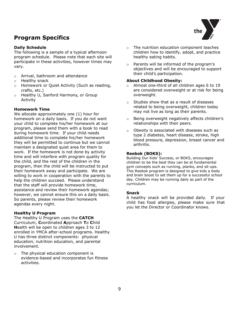## **Program Specifics**

#### **Daily Schedule**

The following is a sample of a typical afternoon program schedule. Please note that each site will participate in these activities, however times may vary.

- o Arrival, bathroom and attendance
- o Healthy snack
- o Homework or Quiet Activity (Such as reading, crafts, etc.)
- o Healthy U, Sanford Harmony, or Group Activity

#### **Homework Time**

We allocate approximately one (1) hour for homework on a daily basis. If you do not want your child to complete his/her homework at our program, please send them with a book to read during homework time. If your child needs additional time to complete his/her homework they will be permitted to continue but we cannot maintain a designated quiet area for them to work. If the homework is not done by activity time and will interfere with program quality for the child, and the rest of the children in the program, then the child will be instructed to put their homework away and participate. We are willing to work in cooperation with the parents to help the children succeed. Please understand that the staff will provide homework time, assistance and review their homework agendas; however, we cannot ensure this on a daily basis. So parents, please review their homework agendas every night.

#### **Healthy U Program**

The Healthy U Program uses the **CATCH** Curriculum, **C**oordinated **A**pproach **T**o **C**hild **H**ealth will be open to children ages 3 to 12 enrolled in YMCA after-school programs. Healthy U has three distinct components: physical education, nutrition education, and parental involvement.

o The physical education component is evidence-based and incorporates fun fitness activities.

- o The nutrition education component teaches children how to identify, adopt, and practice healthy eating habits.
- o Parents will be informed of the program's objectives and will be encouraged to support their child's participation.

#### **About Childhood Obesity:**

- o Almost one-third of all children ages 6 to 19 are considered overweight or at risk for being overweight.
- o Studies show that as a result of diseases related to being overweight, children today may not live as long as their parents.
- o Being overweight negatively affects children's relationships with their peers.
- o Obesity is associated with diseases such as type 2 diabetes, heart disease, stroke, high blood pressure, depression, breast cancer and arthritis.

#### **Reebok (BOKS):**

Building Our Kids' Success, or BOKS, encourages children to be the best they can be at fundamental gym concepts such as running, planks, and sit-ups. This Reebok program is designed to give kids a body and brain boost to set them up for a successful school day. Children may be running daily as part of the curriculum.

#### **Snack**

A healthy snack will be provided daily. If your child has food allergies, please make sure that you let the Director or Coordinator knows.

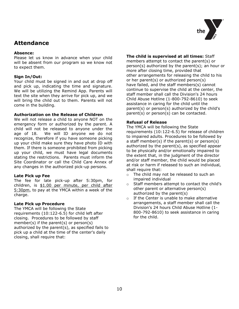

### **Attendance**

#### **Absence:**

Please let us know in advance when your child will be absent from our program so we know not to expect them.

#### **Sign In/Out:**

Your child must be signed in and out at drop off and pick up, indicating the time and signature. We will be utilizing the Remind App. Parents will text the site when they arrive for pick up, and we will bring the child out to them. Parents will not come in the building.

#### **Authorization on the Release of Children**

We will not release a child to anyone NOT on the emergency form or authorized by the parent. A child will not be released to anyone under the age of 18. We will ID anyone we do not recognize, therefore if you have someone picking up your child make sure they have photo ID with them. If there is someone prohibited from picking up your child, we must have legal documents stating the restrictions. Parents must inform the Site Coordinator or call the Child Care Annex of any changes in the authorized pick-up persons.

#### **Late Pick up Fee**

The fee for late pick-up after 5:30pm, for children, is \$1.00 per minute, per child after 5:30pm, to pay at the YMCA within a week of the charge.

#### **Late Pick up Procedure**

The YMCA will be following the State requirements (10:122-6.5) for child left after closing. Procedures to be followed by staff member(s) if the parent(s) or person(s) authorized by the parent(s), as specified fails to pick up a child at the time of the center's daily closing, shall require that:

#### **The child is supervised at all times:** Staff

members attempt to contact the parent(s) or person(s) authorized by the parent(s); an hour or more after closing time, provided that other arrangements for releasing the child to his or her parent(s) or authorized person(s) have failed, and the staff members(s) cannot continue to supervise the child at the center, the staff member shall call the Division's 24 hours Child Abuse Hotline (1-800-792-8610) to seek assistance in caring for the child until the parent(s) or person(s) authorized by the child's parent(s) or person(s) can be contacted.

#### **Refusal of Release**

The YMCA will be following the State requirements (10:122-6.5) for release of children to impaired adults. Procedures to be followed by a staff member(s) if the parent(s) or person(s) authorized by the parent(s), as specified appear to be physically and/or emotionally impaired to the extent that, in the judgment of the director and/or staff member, the child would be placed at risk or harm if released to such an individual, shall require that:

- o The child may not be released to such an impaired individual
- o Staff members attempt to contact the child's other parent or alternative person(s) authorized by the parent(s)
- o If the Center is unable to make alternative arrangements, a staff member shall call the Division's 24 hours Child Abuse Hotline (1- 800-792-8610) to seek assistance in caring for the child.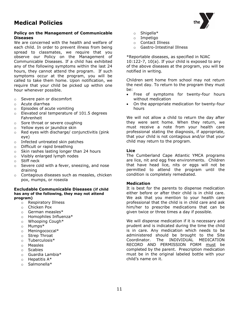#### **Policy on the Management of Communicable Diseases**

We are concerned with the health and welfare of each child. In order to prevent illness from being spread to classmates, we require that you observe our Policy on the Management of Communicable Diseases. If a child has exhibited any of the following symptoms within the last 24 hours, they cannot attend the program. If such symptoms occur at the program, you will be called to take them home. Upon notification, we require that your child be picked up within one hour whenever possible.

- o Severe pain or discomfort
- o Acute diarrhea
- o Episodes of acute vomiting
- o Elevated oral temperature of 101.5 degrees Fahrenheit
- o Sore throat or severe coughing
- o Yellow eyes or jaundice skin
- o Red eyes with discharge/ conjunctivitis (pink eye)
- o Infected untreated skin patches
- o Difficult or rapid breathing
- o Skin rashes lasting longer than 24 hours
- o Visibly enlarged lymph nodes
- o Stiff neck
- $\circ$  Severe cold with a fever, sneezing, and nose draining
- o Contagious diseases such as measles, chicken pox, mumps, or roseola

#### **Excludable Communicable Diseases (if child has any of the following, they may not attend program)**

- o Respiratory Illness
- o Chicken Pox
- o German measles\*
- o Homophiles Influenza\*
- o Whooping Cough\*
- o Mumps\*
- o Meningococcal\*
- o Strep Throat
- o Tuberculosis\*
- o Measles
- o Scabies
- o Guardia Lambia\*
- $\circ$  Hepatitis A\*
- o Salmonella\*
- o Shigella\*
- o Impetigo
- o Contact Illness
- o Gastro-Intestinal Illness

\*Reportable diseases, as specified in NJAC 10:122-7, 10(a). If your child is exposed to any of the above diseases at the program, you will be notified in writing.

Children sent home from school may not return the next day. To return to the program they must be:

- Free of symptoms for twenty-four hours without medication
- On the appropriate medication for twenty-four hours

We will not allow a child to return the day after they were sent home. When they return, we must receive a note from your health care professional stating the diagnosis, if appropriate, that your child is not contagious and/or that your child may return to the program.

#### **Lice**

The Cumberland Cape Atlantic YMCA programs are lice, nit and egg free environments. Children that have head lice, nits or eggs will not be permitted to attend the program until the condition is completely remediated.

#### **Medication**

It is best for the parents to dispense medication either before or after their child is in child care. We ask that you mention to your health care professional that the child is in child care and ask him/her to prescribe medications that can be given twice or three times a day if possible.

We will dispense medication if it is necessary and prudent and is indicated during the time the child is in care. Any medication which needs to be administered should be brought to the Site Coordinator. The INDIVIDUAL MEDICATION RECORD AND PERMISSION FORM must be completed by the parent. Prescription medication must be in the original labeled bottle with your child's name on it.